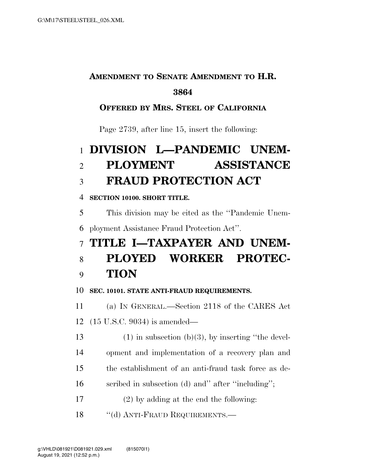## **AMENDMENT TO SENATE AMENDMENT TO H.R.**

#### 

#### **OFFERED BY MRS. STEEL OF CALIFORNIA**

Page 2739, after line 15, insert the following:

# **DIVISION L—PANDEMIC UNEM- PLOYMENT ASSISTANCE FRAUD PROTECTION ACT**

#### **SECTION 10100. SHORT TITLE.**

 This division may be cited as the ''Pandemic Unem-ployment Assistance Fraud Protection Act''.

## **TITLE I—TAXPAYER AND UNEM-**

### **PLOYED WORKER PROTEC-TION**

#### **SEC. 10101. STATE ANTI-FRAUD REQUIREMENTS.**

 (a) IN GENERAL.—Section 2118 of the CARES Act (15 U.S.C. 9034) is amended—

- 13 (1) in subsection (b)(3), by inserting "the devel-opment and implementation of a recovery plan and
- the establishment of an anti-fraud task force as de-
- 16 seribed in subsection (d) and" after "including";
- (2) by adding at the end the following:
- 18 "(d) ANTI-FRAUD REQUIREMENTS.—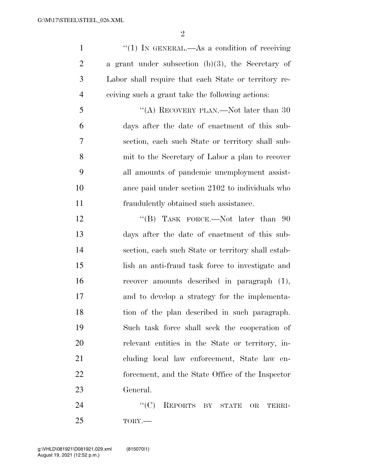$\mathfrak{D}$ 

1 ''(1) IN GENERAL.—As a condition of receiving a grant under subsection (b)(3), the Secretary of Labor shall require that each State or territory re-ceiving such a grant take the following actions:

5 "(A) RECOVERY PLAN.—Not later than 30 days after the date of enactment of this sub- section, each such State or territory shall sub- mit to the Secretary of Labor a plan to recover all amounts of pandemic unemployment assist- ance paid under section 2102 to individuals who fraudulently obtained such assistance.

12 "(B) TASK FORCE.—Not later than 90 days after the date of enactment of this sub- section, each such State or territory shall estab- lish an anti-fraud task force to investigate and recover amounts described in paragraph (1), and to develop a strategy for the implementa- tion of the plan described in such paragraph. Such task force shall seek the cooperation of relevant entities in the State or territory, in- cluding local law enforcement, State law en- forcement, and the State Office of the Inspector General.

24 "(C) REPORTS BY STATE OR TERRI-TORY.—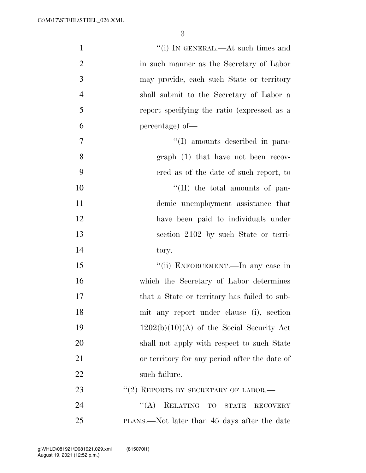| $\mathbf{1}$   | "(i) IN GENERAL.—At such times and                   |
|----------------|------------------------------------------------------|
| $\overline{2}$ | in such manner as the Secretary of Labor             |
| 3              | may provide, each such State or territory            |
| $\overline{4}$ | shall submit to the Secretary of Labor a             |
| 5              | report specifying the ratio (expressed as a          |
| 6              | percentage) of-                                      |
| 7              | "(I) amounts described in para-                      |
| 8              | $graph(1)$ that have not been recov-                 |
| 9              | ered as of the date of such report, to               |
| 10             | $\lq\lq$ (II) the total amounts of pan-              |
| 11             | demic unemployment assistance that                   |
| 12             | have been paid to individuals under                  |
| 13             | section 2102 by such State or terri-                 |
| 14             | tory.                                                |
| 15             | "(ii) ENFORCEMENT.—In any case in                    |
| 16             | which the Secretary of Labor determines              |
| 17             | that a State or territory has failed to sub-         |
| 18             | mit any report under clause (i), section             |
| 19             | $1202(b)(10)(A)$ of the Social Security Act          |
| 20             | shall not apply with respect to such State           |
| 21             | or territory for any period after the date of        |
| 22             | such failure.                                        |
| 23             | $``(2)$ REPORTS BY SECRETARY OF LABOR.—              |
| 24             | $\lq\lq (A)$<br>RELATING TO STATE<br><b>RECOVERY</b> |
| 25             | PLANS.—Not later than 45 days after the date         |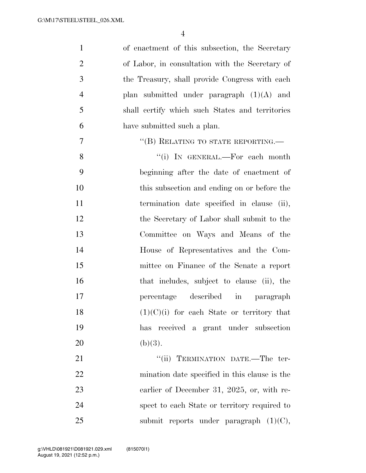| $\mathbf{1}$   | of enactment of this subsection, the Secretary  |
|----------------|-------------------------------------------------|
| $\overline{2}$ | of Labor, in consultation with the Secretary of |
| 3              | the Treasury, shall provide Congress with each  |
| $\overline{4}$ | plan submitted under paragraph $(1)(A)$ and     |
| 5              | shall certify which such States and territories |
| 6              | have submitted such a plan.                     |
| $\overline{7}$ | "(B) RELATING TO STATE REPORTING.—              |
| 8              | "(i) IN GENERAL.—For each month                 |
| 9              | beginning after the date of enactment of        |
| 10             | this subsection and ending on or before the     |
| 11             | termination date specified in clause (ii),      |
| 12             | the Secretary of Labor shall submit to the      |
| 13             | Committee on Ways and Means of the              |
| 14             | House of Representatives and the Com-           |
| 15             | mittee on Finance of the Senate a report        |
| 16             | that includes, subject to clause (ii), the      |
| 17             | percentage described<br>$\sin$<br>paragraph     |
| 18             | $(1)(C)(i)$ for each State or territory that    |
| 19             | has received a grant under subsection           |
| 20             | (b)(3).                                         |
| 21             | "(ii) TERMINATION DATE.—The ter-                |
| 22             | mination date specified in this clause is the   |
| 23             | earlier of December 31, 2025, or, with re-      |
| 24             | spect to each State or territory required to    |
| 25             | submit reports under paragraph $(1)(C)$ ,       |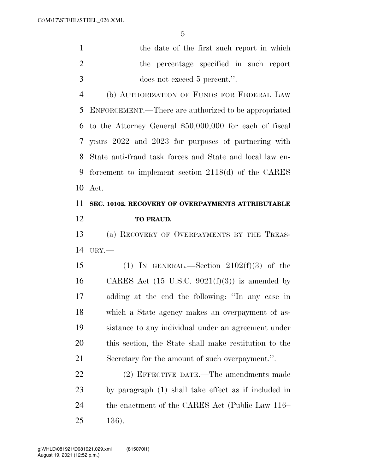| the date of the first such report in which |
|--------------------------------------------|
| the percentage specified in such report    |
| does not exceed 5 percent.".               |

 (b) AUTHORIZATION OF FUNDS FOR FEDERAL LAW ENFORCEMENT.—There are authorized to be appropriated to the Attorney General \$50,000,000 for each of fiscal years 2022 and 2023 for purposes of partnering with State anti-fraud task forces and State and local law en- forcement to implement section 2118(d) of the CARES Act.

### **SEC. 10102. RECOVERY OF OVERPAYMENTS ATTRIBUTABLE TO FRAUD.**

 (a) RECOVERY OF OVERPAYMENTS BY THE TREAS-URY.—

15 (1) IN GENERAL.—Section  $2102(f)(3)$  of the 16 CARES Act  $(15 \text{ U.S.C. } 9021 \text{ (f)}(3))$  is amended by adding at the end the following: ''In any case in which a State agency makes an overpayment of as- sistance to any individual under an agreement under this section, the State shall make restitution to the Secretary for the amount of such overpayment.''.

 (2) EFFECTIVE DATE.—The amendments made by paragraph (1) shall take effect as if included in the enactment of the CARES Act (Public Law 116– 136).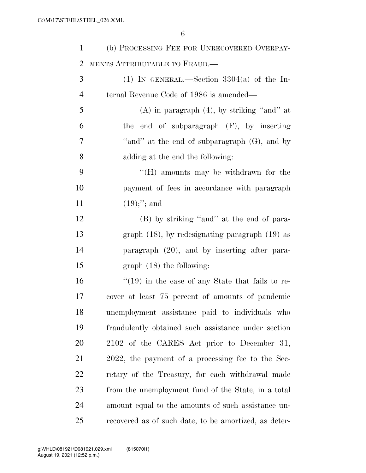| $\mathbf{1}$   | (b) PROCESSING FEE FOR UNRECOVERED OVERPAY-             |
|----------------|---------------------------------------------------------|
| 2              | MENTS ATTRIBUTABLE TO FRAUD.—                           |
| 3              | (1) IN GENERAL.—Section $3304(a)$ of the In-            |
| $\overline{4}$ | ternal Revenue Code of 1986 is amended—                 |
| 5              | $(A)$ in paragraph $(4)$ , by striking "and" at         |
| 6              | the end of subparagraph (F), by inserting               |
| 7              | "and" at the end of subparagraph $(G)$ , and by         |
| 8              | adding at the end the following:                        |
| 9              | "(H) amounts may be withdrawn for the                   |
| 10             | payment of fees in accordance with paragraph            |
| 11             | $(19);$ "; and                                          |
| 12             | (B) by striking "and" at the end of para-               |
| 13             | graph $(18)$ , by redesignating paragraph $(19)$ as     |
| 14             | paragraph (20), and by inserting after para-            |
| 15             | $graph (18)$ the following:                             |
| 16             | $\cdot$ (19) in the case of any State that fails to re- |
| 17             | cover at least 75 percent of amounts of pandemic        |
| 18             | unemployment assistance paid to individuals who         |
| 19             | fraudulently obtained such assistance under section     |
| 20             | 2102 of the CARES Act prior to December 31,             |
| 21             | 2022, the payment of a processing fee to the Sec-       |
| 22             | retary of the Treasury, for each withdrawal made        |
| 23             | from the unemployment fund of the State, in a total     |
| 24             | amount equal to the amounts of such assistance un-      |
| 25             | recovered as of such date, to be amortized, as deter-   |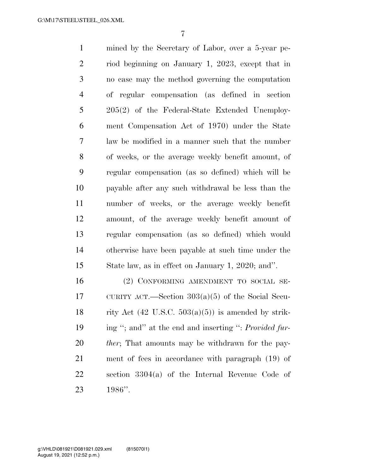mined by the Secretary of Labor, over a 5-year pe- riod beginning on January 1, 2023, except that in no case may the method governing the computation of regular compensation (as defined in section 205(2) of the Federal-State Extended Unemploy- ment Compensation Act of 1970) under the State law be modified in a manner such that the number of weeks, or the average weekly benefit amount, of regular compensation (as so defined) which will be payable after any such withdrawal be less than the number of weeks, or the average weekly benefit amount, of the average weekly benefit amount of regular compensation (as so defined) which would otherwise have been payable at such time under the State law, as in effect on January 1, 2020; and''.

 (2) CONFORMING AMENDMENT TO SOCIAL SE- CURITY ACT.—Section 303(a)(5) of the Social Secu-18 rity Act  $(42 \text{ U.S.C. } 503(a)(5))$  is amended by strik- ing ''; and'' at the end and inserting '': *Provided fur- ther*; That amounts may be withdrawn for the pay- ment of fees in accordance with paragraph (19) of section 3304(a) of the Internal Revenue Code of 1986''.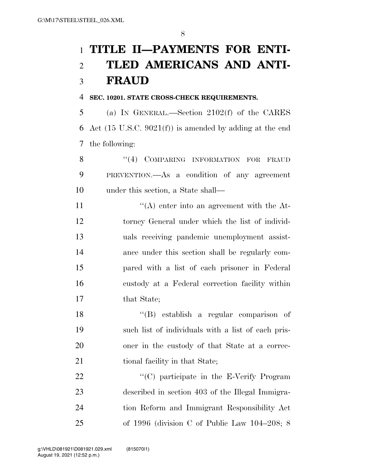# **TITLE II—PAYMENTS FOR ENTI- TLED AMERICANS AND ANTI-FRAUD**

#### **SEC. 10201. STATE CROSS-CHECK REQUIREMENTS.**

 (a) IN GENERAL.—Section 2102(f) of the CARES Act (15 U.S.C. 9021(f)) is amended by adding at the end the following:

8 "(4) COMPARING INFORMATION FOR FRAUD PREVENTION.—As a condition of any agreement under this section, a State shall—

11 ''(A) enter into an agreement with the At- torney General under which the list of individ- uals receiving pandemic unemployment assist- ance under this section shall be regularly com- pared with a list of each prisoner in Federal custody at a Federal correction facility within that State;

 ''(B) establish a regular comparison of such list of individuals with a list of each pris- oner in the custody of that State at a correc-21 tional facility in that State;

22 "'(C) participate in the E-Verify Program described in section 403 of the Illegal Immigra- tion Reform and Immigrant Responsibility Act of 1996 (division C of Public Law 104–208; 8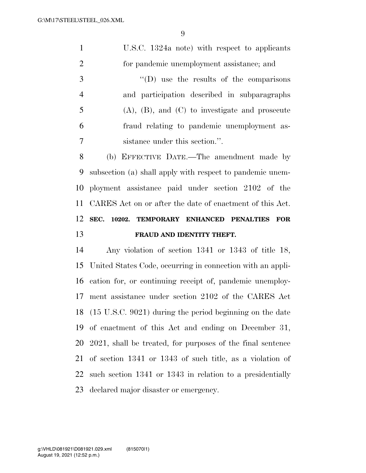U.S.C. 1324a note) with respect to applicants for pandemic unemployment assistance; and

 ''(D) use the results of the comparisons and participation described in subparagraphs (A), (B), and (C) to investigate and prosecute fraud relating to pandemic unemployment as-sistance under this section.''.

 (b) EFFECTIVE DATE.—The amendment made by subsection (a) shall apply with respect to pandemic unem- ployment assistance paid under section 2102 of the CARES Act on or after the date of enactment of this Act. **SEC. 10202. TEMPORARY ENHANCED PENALTIES FOR FRAUD AND IDENTITY THEFT.** 

 Any violation of section 1341 or 1343 of title 18, United States Code, occurring in connection with an appli- cation for, or continuing receipt of, pandemic unemploy- ment assistance under section 2102 of the CARES Act (15 U.S.C. 9021) during the period beginning on the date of enactment of this Act and ending on December 31, 2021, shall be treated, for purposes of the final sentence of section 1341 or 1343 of such title, as a violation of such section 1341 or 1343 in relation to a presidentially declared major disaster or emergency.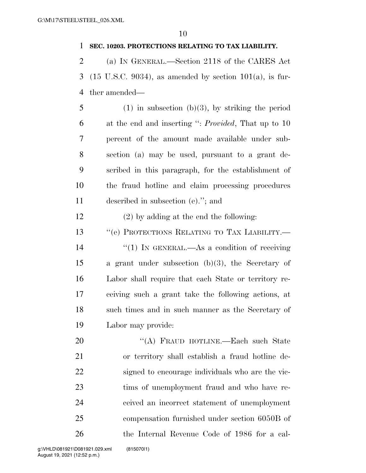#### **SEC. 10203. PROTECTIONS RELATING TO TAX LIABILITY.**

 (a) IN GENERAL.—Section 2118 of the CARES Act (15 U.S.C. 9034), as amended by section 101(a), is fur-ther amended—

5 (1) in subsection (b)(3), by striking the period at the end and inserting '': *Provided*, That up to 10 percent of the amount made available under sub- section (a) may be used, pursuant to a grant de- scribed in this paragraph, for the establishment of the fraud hotline and claim processing procedures described in subsection (e).''; and

(2) by adding at the end the following:

13 " (e) PROTECTIONS RELATING TO TAX LIABILITY.—  $\frac{1}{2}$  (1) In GENERAL.—As a condition of receiving a grant under subsection (b)(3), the Secretary of Labor shall require that each State or territory re- ceiving such a grant take the following actions, at such times and in such manner as the Secretary of Labor may provide:

20 "(A) FRAUD HOTLINE.—Each such State or territory shall establish a fraud hotline de- signed to encourage individuals who are the vic- tims of unemployment fraud and who have re- ceived an incorrect statement of unemployment compensation furnished under section 6050B of the Internal Revenue Code of 1986 for a cal-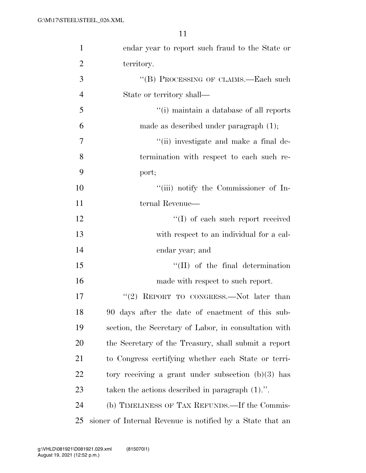| $\mathbf{1}$   | endar year to report such fraud to the State or           |
|----------------|-----------------------------------------------------------|
| $\overline{2}$ | territory.                                                |
| 3              | "(B) PROCESSING OF CLAIMS.—Each such                      |
| $\overline{4}$ | State or territory shall—                                 |
| 5              | "(i) maintain a database of all reports                   |
| 6              | made as described under paragraph $(1)$ ;                 |
| 7              | "(ii) investigate and make a final de-                    |
| 8              | termination with respect to each such re-                 |
| 9              | port;                                                     |
| 10             | "(iii) notify the Commissioner of In-                     |
| 11             | ternal Revenue—                                           |
| 12             | $\lq\lq$ of each such report received                     |
| 13             | with respect to an individual for a cal-                  |
| 14             | endar year; and                                           |
| 15             | $\lq\lq$ (II) of the final determination                  |
| 16             | made with respect to such report.                         |
| 17             | REPORT TO CONGRESS.-Not later than<br>(2)                 |
| 18             | 90 days after the date of enactment of this sub-          |
| 19             | section, the Secretary of Labor, in consultation with     |
| <b>20</b>      | the Secretary of the Treasury, shall submit a report      |
| 21             | to Congress certifying whether each State or terri-       |
| 22             | tory receiving a grant under subsection $(b)(3)$ has      |
| 23             | taken the actions described in paragraph $(1)$ .".        |
| 24             | (b) TIMELINESS OF TAX REFUNDS.—If the Commis-             |
| 25             | sioner of Internal Revenue is notified by a State that an |